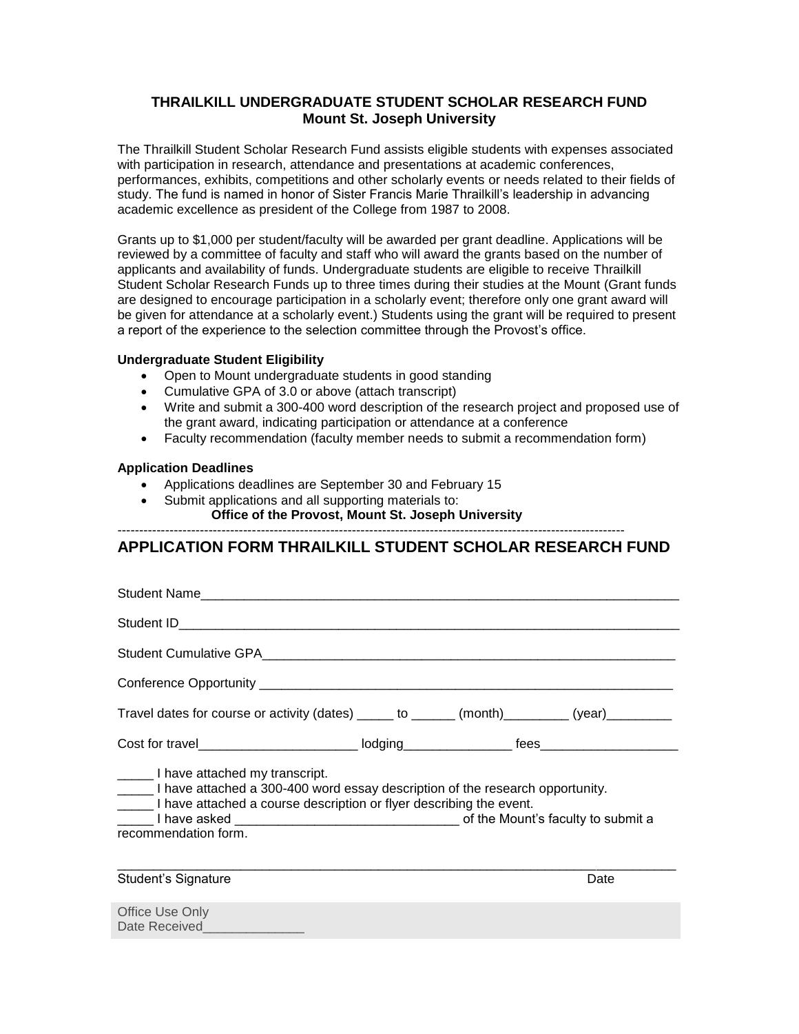### **THRAILKILL UNDERGRADUATE STUDENT SCHOLAR RESEARCH FUND Mount St. Joseph University**

The Thrailkill Student Scholar Research Fund assists eligible students with expenses associated with participation in research, attendance and presentations at academic conferences, performances, exhibits, competitions and other scholarly events or needs related to their fields of study. The fund is named in honor of Sister Francis Marie Thrailkill's leadership in advancing academic excellence as president of the College from 1987 to 2008.

Grants up to \$1,000 per student/faculty will be awarded per grant deadline. Applications will be reviewed by a committee of faculty and staff who will award the grants based on the number of applicants and availability of funds. Undergraduate students are eligible to receive Thrailkill Student Scholar Research Funds up to three times during their studies at the Mount (Grant funds are designed to encourage participation in a scholarly event; therefore only one grant award will be given for attendance at a scholarly event.) Students using the grant will be required to present a report of the experience to the selection committee through the Provost's office.

#### **Undergraduate Student Eligibility**

- Open to Mount undergraduate students in good standing
- Cumulative GPA of 3.0 or above (attach transcript)
- Write and submit a 300-400 word description of the research project and proposed use of the grant award, indicating participation or attendance at a conference
- Faculty recommendation (faculty member needs to submit a recommendation form)

#### **Application Deadlines**

- Applications deadlines are September 30 and February 15
- Submit applications and all supporting materials to: **Office of the Provost, Mount St. Joseph University**

---------------------------------------------------------------------------------------------------------------------

# **APPLICATION FORM THRAILKILL STUDENT SCHOLAR RESEARCH FUND**

| Student Name                                                                                                                                                                                                          |  |  |      |  |  |  |
|-----------------------------------------------------------------------------------------------------------------------------------------------------------------------------------------------------------------------|--|--|------|--|--|--|
|                                                                                                                                                                                                                       |  |  |      |  |  |  |
|                                                                                                                                                                                                                       |  |  |      |  |  |  |
|                                                                                                                                                                                                                       |  |  |      |  |  |  |
| Travel dates for course or activity (dates) ______ to ______ (month)_________ (year)_________                                                                                                                         |  |  |      |  |  |  |
|                                                                                                                                                                                                                       |  |  |      |  |  |  |
| I have attached my transcript.<br>I have attached a 300-400 word essay description of the research opportunity.<br>______ I have attached a course description or flyer describing the event.<br>recommendation form. |  |  |      |  |  |  |
| <b>Student's Signature</b>                                                                                                                                                                                            |  |  | Date |  |  |  |
| Office Use Only<br>Date Received and the Date Received                                                                                                                                                                |  |  |      |  |  |  |
|                                                                                                                                                                                                                       |  |  |      |  |  |  |